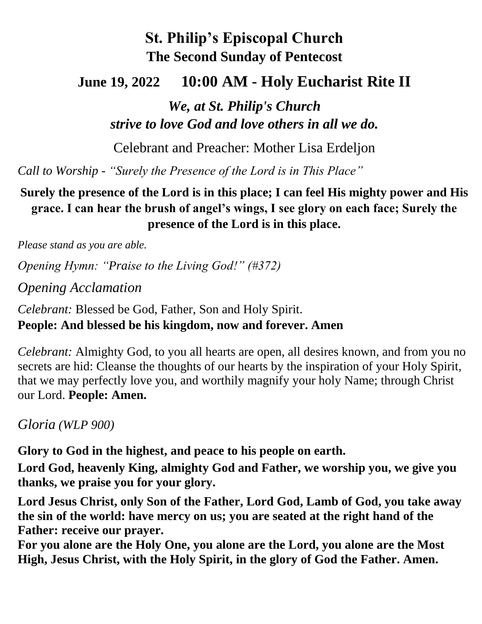# **St. Philip's Episcopal Church The Second Sunday of Pentecost**

## **June 19, 2022 10:00 AM - Holy Eucharist Rite II**

*We, at St. Philip's Church strive to love God and love others in all we do.*

Celebrant and Preacher: Mother Lisa Erdeljon

*Call to Worship - "Surely the Presence of the Lord is in This Place"*

### **Surely the presence of the Lord is in this place; I can feel His mighty power and His grace. I can hear the brush of angel's wings, I see glory on each face; Surely the presence of the Lord is in this place.**

*Please stand as you are able.*

*Opening Hymn: "Praise to the Living God!" (#372)*

*Opening Acclamation*

*Celebrant:* Blessed be God, Father, Son and Holy Spirit. **People: And blessed be his kingdom, now and forever. Amen**

*Celebrant:* Almighty God, to you all hearts are open, all desires known, and from you no secrets are hid: Cleanse the thoughts of our hearts by the inspiration of your Holy Spirit, that we may perfectly love you, and worthily magnify your holy Name; through Christ our Lord. **People: Amen.**

*Gloria (WLP 900)*

**Glory to God in the highest, and peace to his people on earth.**

**Lord God, heavenly King, almighty God and Father, we worship you, we give you thanks, we praise you for your glory.**

**Lord Jesus Christ, only Son of the Father, Lord God, Lamb of God, you take away the sin of the world: have mercy on us; you are seated at the right hand of the Father: receive our prayer.**

**For you alone are the Holy One, you alone are the Lord, you alone are the Most High, Jesus Christ, with the Holy Spirit, in the glory of God the Father. Amen.**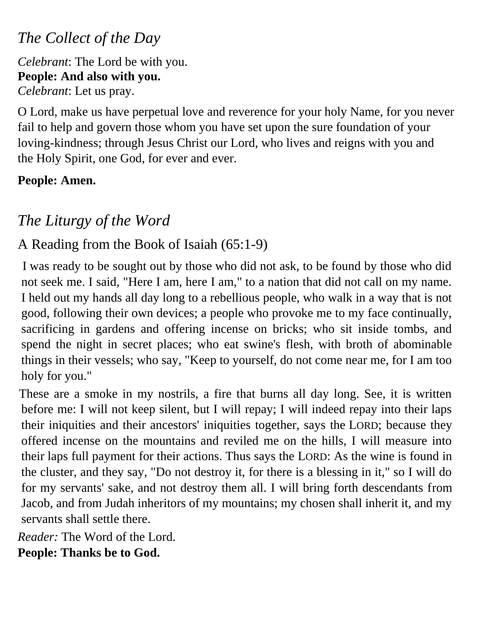# *The Collect of the Day*

*Celebrant*: The Lord be with you. **People: And also with you.**  *Celebrant*: Let us pray.

O Lord, make us have perpetual love and reverence for your holy Name, for you never fail to help and govern those whom you have set upon the sure foundation of your loving-kindness; through Jesus Christ our Lord, who lives and reigns with you and the Holy Spirit, one God, for ever and ever.

## **People: Amen.**

# *The Liturgy of the Word*

## A Reading from the Book of Isaiah (65:1-9)

I was ready to be sought out by those who did not ask, to be found by those who did not seek me. I said, "Here I am, here I am," to a nation that did not call on my name. I held out my hands all day long to a rebellious people, who walk in a way that is not good, following their own devices; a people who provoke me to my face continually, sacrificing in gardens and offering incense on bricks; who sit inside tombs, and spend the night in secret places; who eat swine's flesh, with broth of abominable things in their vessels; who say, "Keep to yourself, do not come near me, for I am too holy for you."

These are a smoke in my nostrils, a fire that burns all day long. See, it is written before me: I will not keep silent, but I will repay; I will indeed repay into their laps their iniquities and their ancestors' iniquities together, says the LORD; because they offered incense on the mountains and reviled me on the hills, I will measure into their laps full payment for their actions. Thus says the LORD: As the wine is found in the cluster, and they say, "Do not destroy it, for there is a blessing in it," so I will do for my servants' sake, and not destroy them all. I will bring forth descendants from Jacob, and from Judah inheritors of my mountains; my chosen shall inherit it, and my servants shall settle there.

*Reader:* The Word of the Lord. **People: Thanks be to God.**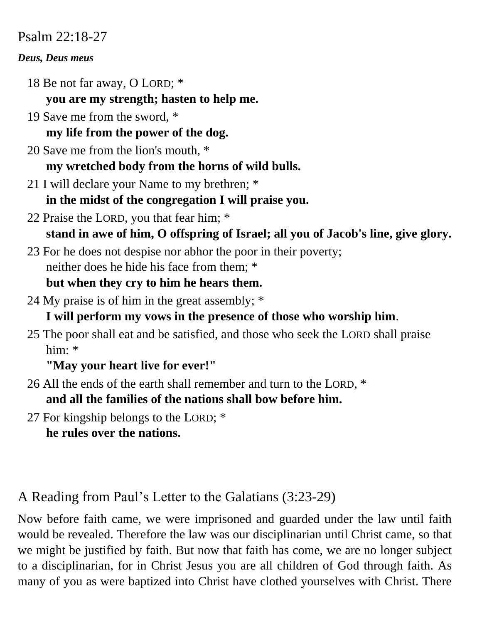## Psalm 22:18-27

### *Deus, Deus meus*

- 18 Be not far away, O LORD; \* **you are my strength; hasten to help me.**
- 19 Save me from the sword, \* **my life from the power of the dog.**
- 20 Save me from the lion's mouth, \* **my wretched body from the horns of wild bulls.**
- 21 I will declare your Name to my brethren; \* **in the midst of the congregation I will praise you.**
- 22 Praise the LORD, you that fear him; \* **stand in awe of him, O offspring of Israel; all you of Jacob's line, give glory.**
- 23 For he does not despise nor abhor the poor in their poverty; neither does he hide his face from them; \* **but when they cry to him he hears them.**
- 24 My praise is of him in the great assembly; \* **I will perform my vows in the presence of those who worship him**.
- 25 The poor shall eat and be satisfied, and those who seek the LORD shall praise him: \*

**"May your heart live for ever!"**

- 26 All the ends of the earth shall remember and turn to the LORD, \* **and all the families of the nations shall bow before him.**
- 27 For kingship belongs to the LORD; \*

**he rules over the nations.**

# A Reading from Paul's Letter to the Galatians (3:23-29)

Now before faith came, we were imprisoned and guarded under the law until faith would be revealed. Therefore the law was our disciplinarian until Christ came, so that we might be justified by faith. But now that faith has come, we are no longer subject to a disciplinarian, for in Christ Jesus you are all children of God through faith. As many of you as were baptized into Christ have clothed yourselves with Christ. There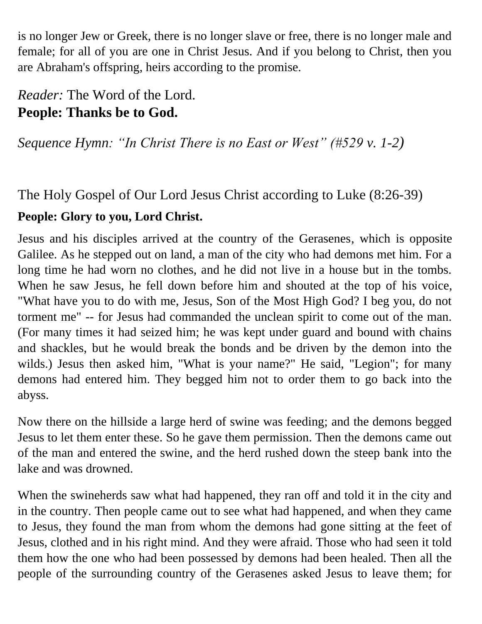is no longer Jew or Greek, there is no longer slave or free, there is no longer male and female; for all of you are one in Christ Jesus. And if you belong to Christ, then you are Abraham's offspring, heirs according to the promise.

# *Reader:* The Word of the Lord. **People: Thanks be to God.**

*Sequence Hymn: "In Christ There is no East or West" (#529 v. 1-2)*

## The Holy Gospel of Our Lord Jesus Christ according to Luke (8:26-39)

## **People: Glory to you, Lord Christ.**

Jesus and his disciples arrived at the country of the Gerasenes, which is opposite Galilee. As he stepped out on land, a man of the city who had demons met him. For a long time he had worn no clothes, and he did not live in a house but in the tombs. When he saw Jesus, he fell down before him and shouted at the top of his voice, "What have you to do with me, Jesus, Son of the Most High God? I beg you, do not torment me" -- for Jesus had commanded the unclean spirit to come out of the man. (For many times it had seized him; he was kept under guard and bound with chains and shackles, but he would break the bonds and be driven by the demon into the wilds.) Jesus then asked him, "What is your name?" He said, "Legion"; for many demons had entered him. They begged him not to order them to go back into the abyss.

Now there on the hillside a large herd of swine was feeding; and the demons begged Jesus to let them enter these. So he gave them permission. Then the demons came out of the man and entered the swine, and the herd rushed down the steep bank into the lake and was drowned.

When the swineherds saw what had happened, they ran off and told it in the city and in the country. Then people came out to see what had happened, and when they came to Jesus, they found the man from whom the demons had gone sitting at the feet of Jesus, clothed and in his right mind. And they were afraid. Those who had seen it told them how the one who had been possessed by demons had been healed. Then all the people of the surrounding country of the Gerasenes asked Jesus to leave them; for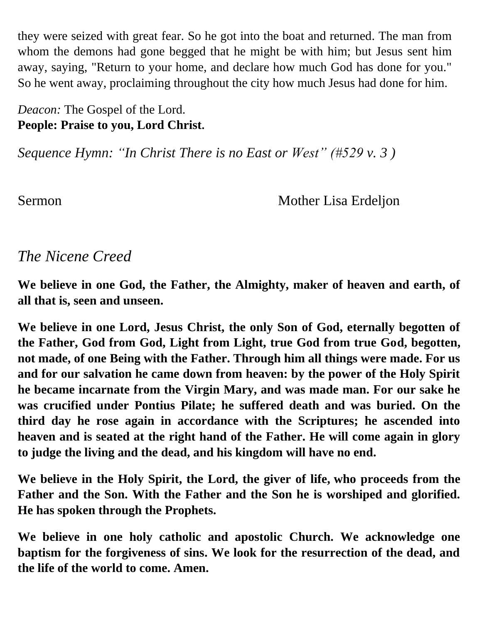they were seized with great fear. So he got into the boat and returned. The man from whom the demons had gone begged that he might be with him; but Jesus sent him away, saying, "Return to your home, and declare how much God has done for you." So he went away, proclaiming throughout the city how much Jesus had done for him.

*Deacon:* The Gospel of the Lord. **People: Praise to you, Lord Christ.**

*Sequence Hymn: "In Christ There is no East or West" (#529 v. 3 )*

Sermon Mother Lisa Erdeljon

# *The Nicene Creed*

**We believe in one God, the Father, the Almighty, maker of heaven and earth, of all that is, seen and unseen.** 

**We believe in one Lord, Jesus Christ, the only Son of God, eternally begotten of the Father, God from God, Light from Light, true God from true God, begotten, not made, of one Being with the Father. Through him all things were made. For us and for our salvation he came down from heaven: by the power of the Holy Spirit he became incarnate from the Virgin Mary, and was made man. For our sake he was crucified under Pontius Pilate; he suffered death and was buried. On the third day he rose again in accordance with the Scriptures; he ascended into heaven and is seated at the right hand of the Father. He will come again in glory to judge the living and the dead, and his kingdom will have no end.**

**We believe in the Holy Spirit, the Lord, the giver of life, who proceeds from the Father and the Son. With the Father and the Son he is worshiped and glorified. He has spoken through the Prophets.**

**We believe in one holy catholic and apostolic Church. We acknowledge one baptism for the forgiveness of sins. We look for the resurrection of the dead, and the life of the world to come. Amen.**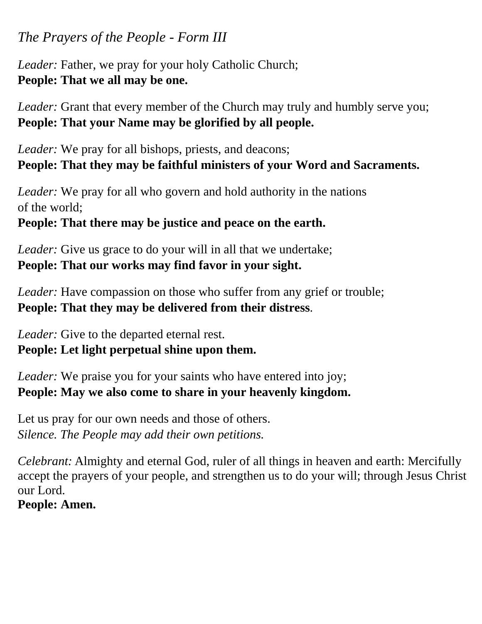## *The Prayers of the People - Form III*

*Leader:* Father, we pray for your holy Catholic Church; **People: That we all may be one.**

*Leader:* Grant that every member of the Church may truly and humbly serve you; **People: That your Name may be glorified by all people.**

*Leader:* We pray for all bishops, priests, and deacons; **People: That they may be faithful ministers of your Word and Sacraments.**

*Leader:* We pray for all who govern and hold authority in the nations of the world;

**People: That there may be justice and peace on the earth.**

*Leader:* Give us grace to do your will in all that we undertake; **People: That our works may find favor in your sight.**

*Leader:* Have compassion on those who suffer from any grief or trouble; **People: That they may be delivered from their distress***.*

*Leader:* Give to the departed eternal rest. **People: Let light perpetual shine upon them.**

*Leader:* We praise you for your saints who have entered into joy; **People: May we also come to share in your heavenly kingdom.**

Let us pray for our own needs and those of others. *Silence. The People may add their own petitions.*

*Celebrant:* Almighty and eternal God, ruler of all things in heaven and earth: Mercifully accept the prayers of your people, and strengthen us to do your will; through Jesus Christ our Lord.

**People: Amen.**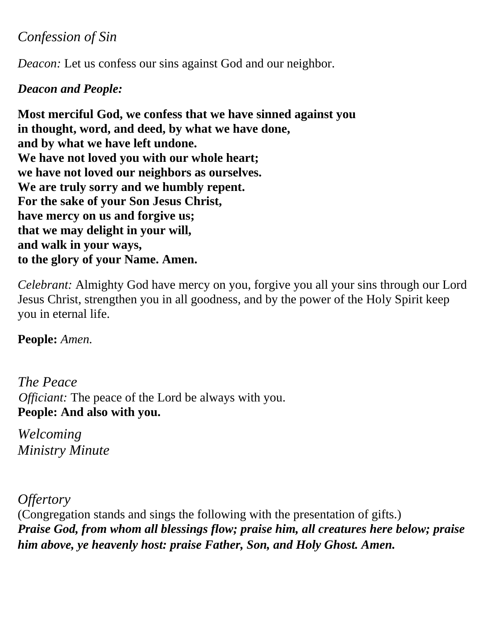## *Confession of Sin*

*Deacon:* Let us confess our sins against God and our neighbor.

### *Deacon and People:*

**Most merciful God, we confess that we have sinned against you in thought, word, and deed, by what we have done, and by what we have left undone. We have not loved you with our whole heart; we have not loved our neighbors as ourselves. We are truly sorry and we humbly repent. For the sake of your Son Jesus Christ, have mercy on us and forgive us; that we may delight in your will, and walk in your ways, to the glory of your Name. Amen.**

*Celebrant:* Almighty God have mercy on you, forgive you all your sins through our Lord Jesus Christ, strengthen you in all goodness, and by the power of the Holy Spirit keep you in eternal life.

### **People:** *Amen.*

*The Peace <i>Officiant:* The peace of the Lord be always with you. **People: And also with you.**

*Welcoming Ministry Minute*

## *Offertory*

(Congregation stands and sings the following with the presentation of gifts.) *Praise God, from whom all blessings flow; praise him, all creatures here below; praise him above, ye heavenly host: praise Father, Son, and Holy Ghost. Amen.*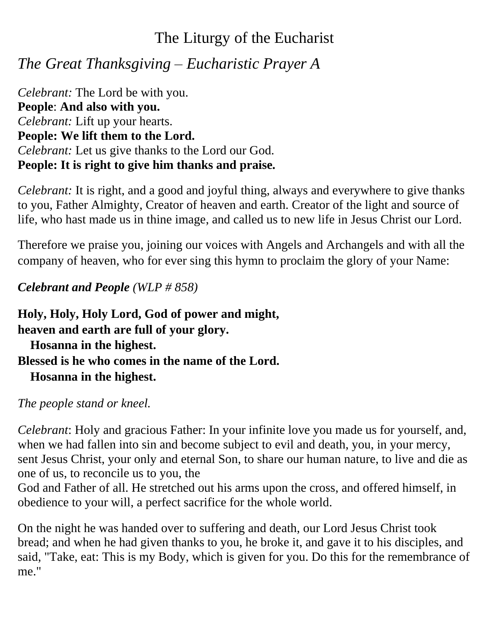# The Liturgy of the Eucharist

*The Great Thanksgiving* – *Eucharistic Prayer A*

*Celebrant:* The Lord be with you. **People**: **And also with you.** *Celebrant:* Lift up your hearts. **People: We lift them to the Lord.** *Celebrant:* Let us give thanks to the Lord our God. **People: It is right to give him thanks and praise***.*

*Celebrant:* It is right, and a good and joyful thing, always and everywhere to give thanks to you, Father Almighty, Creator of heaven and earth. Creator of the light and source of life, who hast made us in thine image, and called us to new life in Jesus Christ our Lord.

Therefore we praise you, joining our voices with Angels and Archangels and with all the company of heaven, who for ever sing this hymn to proclaim the glory of your Name:

*Celebrant and People (WLP # 858)*

**Holy, Holy, Holy Lord, God of power and might, heaven and earth are full of your glory. Hosanna in the highest. Blessed is he who comes in the name of the Lord. Hosanna in the highest.**

*The people stand or kneel.*

*Celebrant*: Holy and gracious Father: In your infinite love you made us for yourself, and, when we had fallen into sin and become subject to evil and death, you, in your mercy, sent Jesus Christ, your only and eternal Son, to share our human nature, to live and die as one of us, to reconcile us to you, the

God and Father of all. He stretched out his arms upon the cross, and offered himself, in obedience to your will, a perfect sacrifice for the whole world.

On the night he was handed over to suffering and death, our Lord Jesus Christ took bread; and when he had given thanks to you, he broke it, and gave it to his disciples, and said, "Take, eat: This is my Body, which is given for you. Do this for the remembrance of me."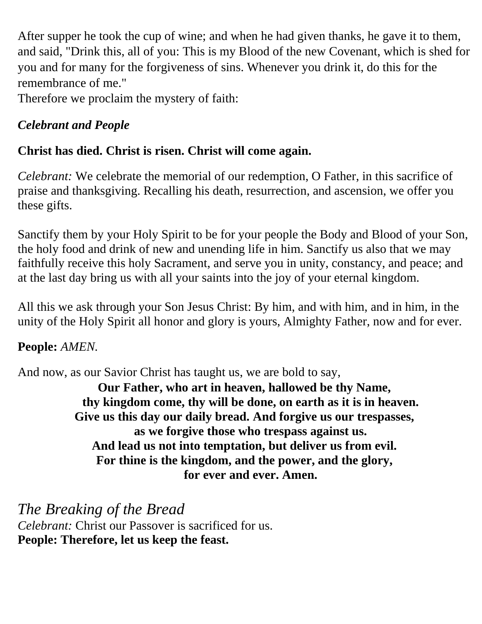After supper he took the cup of wine; and when he had given thanks, he gave it to them, and said, "Drink this, all of you: This is my Blood of the new Covenant, which is shed for you and for many for the forgiveness of sins. Whenever you drink it, do this for the remembrance of me."

Therefore we proclaim the mystery of faith:

## *Celebrant and People*

## **Christ has died. Christ is risen. Christ will come again.**

*Celebrant:* We celebrate the memorial of our redemption, O Father, in this sacrifice of praise and thanksgiving. Recalling his death, resurrection, and ascension, we offer you these gifts.

Sanctify them by your Holy Spirit to be for your people the Body and Blood of your Son, the holy food and drink of new and unending life in him. Sanctify us also that we may faithfully receive this holy Sacrament, and serve you in unity, constancy, and peace; and at the last day bring us with all your saints into the joy of your eternal kingdom.

All this we ask through your Son Jesus Christ: By him, and with him, and in him, in the unity of the Holy Spirit all honor and glory is yours, Almighty Father, now and for ever.

## **People:** *AMEN.*

And now, as our Savior Christ has taught us, we are bold to say,

**Our Father, who art in heaven, hallowed be thy Name, thy kingdom come, thy will be done, on earth as it is in heaven. Give us this day our daily bread. And forgive us our trespasses, as we forgive those who trespass against us. And lead us not into temptation, but deliver us from evil. For thine is the kingdom, and the power, and the glory, for ever and ever. Amen.**

*The Breaking of the Bread Celebrant:* Christ our Passover is sacrificed for us. **People: Therefore, let us keep the feast.**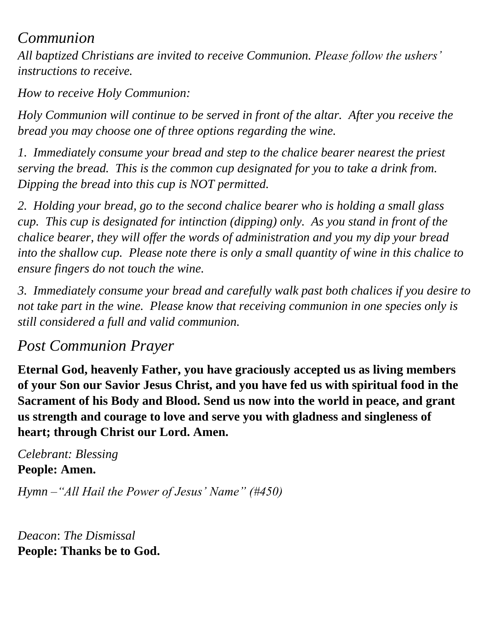# *Communion*

*All baptized Christians are invited to receive Communion. Please follow the ushers' instructions to receive.* 

*How to receive Holy Communion:*

*Holy Communion will continue to be served in front of the altar. After you receive the bread you may choose one of three options regarding the wine.*

*1. Immediately consume your bread and step to the chalice bearer nearest the priest serving the bread. This is the common cup designated for you to take a drink from. Dipping the bread into this cup is NOT permitted.*

*2. Holding your bread, go to the second chalice bearer who is holding a small glass cup. This cup is designated for intinction (dipping) only. As you stand in front of the chalice bearer, they will offer the words of administration and you my dip your bread into the shallow cup. Please note there is only a small quantity of wine in this chalice to ensure fingers do not touch the wine.*

*3. Immediately consume your bread and carefully walk past both chalices if you desire to not take part in the wine. Please know that receiving communion in one species only is still considered a full and valid communion.*

## *Post Communion Prayer*

**Eternal God, heavenly Father, you have graciously accepted us as living members of your Son our Savior Jesus Christ, and you have fed us with spiritual food in the Sacrament of his Body and Blood. Send us now into the world in peace, and grant us strength and courage to love and serve you with gladness and singleness of heart; through Christ our Lord. Amen.**

*Celebrant: Blessing*

**People: Amen.**

*Hymn –"All Hail the Power of Jesus' Name" (#450)* 

*Deacon*: *The Dismissal*  **People: Thanks be to God.**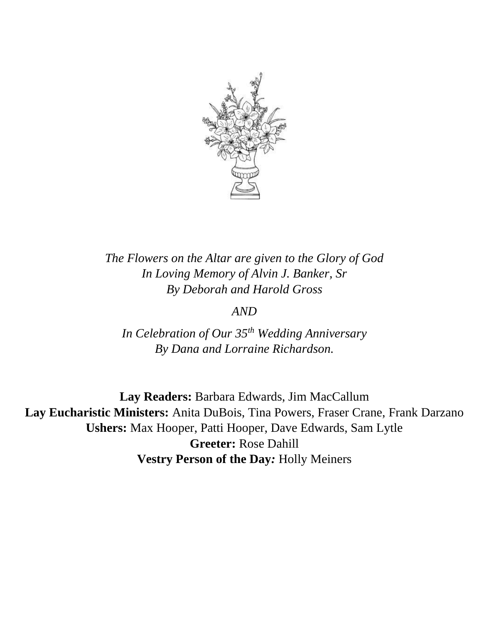

*The Flowers on the Altar are given to the Glory of God In Loving Memory of Alvin J. Banker, Sr By Deborah and Harold Gross*

### *AND*

*In Celebration of Our 35th Wedding Anniversary By Dana and Lorraine Richardson.*

**Lay Readers:** Barbara Edwards, Jim MacCallum **Lay Eucharistic Ministers:** Anita DuBois, Tina Powers, Fraser Crane, Frank Darzano **Ushers:** Max Hooper, Patti Hooper, Dave Edwards, Sam Lytle **Greeter:** Rose Dahill **Vestry Person of the Day***:* Holly Meiners